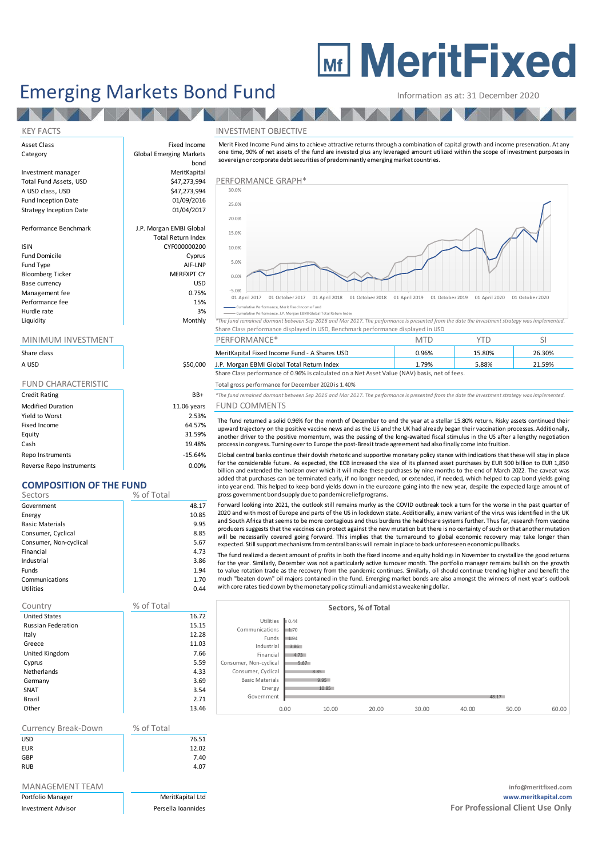# **MEDITY MeritFixed**

## Emerging Markets Bond Fund Information as at: 31 December 2020

**TANA** 

### KEY FACTS INVESTMENT OBJECTIVE

Asset Class **Fixed Income** 

Strategy Inception Date

Bloomberg Ticker

| Share class                |             |
|----------------------------|-------------|
| A USD                      | \$50,000    |
|                            |             |
| <b>FUND CHARACTERISTIC</b> |             |
| <b>Credit Rating</b>       | BB+         |
| <b>Modified Duration</b>   | 11.06 years |
| Yield to Worst             | 2.53%       |
| Fixed Income               | 64.57%      |
| Equity                     | 31.59%      |
| Cash                       | 19.48%      |

Repo Instruments and the set of the set of the set of the set of the set of the set of the set of the set of the set of the set of the set of the set of the set of the set of the set of the set of the set of the set of the Reverse Repo Instruments and the control of the control of the control of the control of the control of the control of the control of the control of the control of the control of the control of the control of the control o

## **COMPOSITION OF THE FUND**

| Sectors                | % of Total |
|------------------------|------------|
| Government             | 48.17      |
| Energy                 | 10.85      |
| <b>Basic Materials</b> | 9.95       |
| Consumer, Cyclical     | 8.85       |
| Consumer, Non-cyclical | 5.67       |
| Financial              | 4.73       |
| Industrial             | 3.86       |
| <b>Funds</b>           | 1.94       |
| Communications         | 1.70       |
| Utilities              | 0.44       |

| Country                   | % of Total |  |
|---------------------------|------------|--|
| <b>United States</b>      | 16.72      |  |
| <b>Russian Federation</b> | 15.15      |  |
| Italy                     | 12.28      |  |
| Greece                    | 11.03      |  |
| United Kingdom            | 7.66       |  |
| Cyprus                    | 5.59       |  |
| <b>Netherlands</b>        | 4.33       |  |
| Germany                   | 3.69       |  |
| SNAT                      | 3.54       |  |
| Brazil                    | 2.71       |  |
| Other                     | 13.46      |  |
|                           |            |  |

| Currency Break-Down | % of Total |
|---------------------|------------|
| <b>USD</b>          | 76.51      |
| <b>EUR</b>          | 12.02      |
| GBP                 | 7.40       |
| <b>RUB</b>          | 4.07       |

| Portfolio Manager         |  |
|---------------------------|--|
| <b>Investment Advisor</b> |  |



Information as at: 31 December 2020<br>
NVESTMENT OBJECTIVE<br>
Merit Fixed Income Fund aims to achieve attractive returns through a combination of capital growth and income preservation. At any<br>
one time, 90% of net assets of t sovereign or corporate debt securities of predominantly emerging market countries.



Cumulative Performance, Merit Fixed Income Fund

and the section of the section of the section of the section of the section of the section of the section of the section of the section of the section of the section of the section of the section of the section of the sect Share Class performance displayed in USD, Benchmark performance displayed in USD

|             |          | ________________                                                                              | .     |        |        |  |
|-------------|----------|-----------------------------------------------------------------------------------------------|-------|--------|--------|--|
| Share class |          | MeritKapital Fixed Income Fund - A Shares USD                                                 | 0.96% | 15.80% | 26.30% |  |
| A USD       | \$50,000 | J.P. Morgan EBMI Global Total Return Index                                                    | 1.79% | 5.88%  | 21.59% |  |
|             |          | Share Class performance of 0.96% is calculated on a Net Asset Value (NAV) basis, net of fees. |       |        |        |  |

Total gross performance for December 2020 is 1.40%

Credit Rating BB+ *\*The fund remained dormant between Sep 2016 and Mar 2017. The performance is presented from the date the investment strategy was implemented.*

## ears FUND COMMENTS

The fund returned a solid 0.96% for the month of December to end the year at a stellar 15.80% return. Risky assets continued their upward trajectory on the positive vaccine news and as the US and the UK had already began their vaccination processes. Additionally, another driver to the positive momentum, was the passing of the long-awaited fiscal stimulus in the US after a lengthy negotiation For fund gross performance for December 2020 is 1.40%<br>The fund remained dormant between Sep 2016 and Mar 2017. The performance is presented from the date the investment strated UND COMMENTS<br>The fund returned a solid 0.96% The fund remained dormant between Sep 2016 and Mar 2017. The performance is presented from the date the investment strategy was implemented.<br>
FUND COMMENTS<br>
The fund returned a solid 0.96% for the month of December to end

for the considerable future. As expected, the ECB increased the size of its planned asset purchases by EUR 500 billion to EUR 1,850<br>billion and extended the horizon over which it will make these purchases by nine months to The fund returned a solid 0.96% for the month of December to end the year at a stellar 15.80% return. Risky assets continued their the fund returned a solid 0.96% for the month of December to end the year at a stellar 15.8 upward trajectory on the positive vaccine news and as the US and the UK had already began their vaccination processes. Additionally, another driver to the positive momentum, was the passing of the long-awaited fiscal stimu gross government bond supply due to pandemic reliefprograms. process in congress. Turning over to Europe the post-Brexit trade agreement had also finally come into fruition.<br>
Global central banks continue their dovish rhetoric and supportive monetary policy stance with indications t Global central banks continue their dovish rhetoric and supportive monetary policy stance with indications that these will stay in place for the considerable future. As expected, the ECB increased the size of its planned a

and South Africa that seems to be more contagious and thus burdens the healthcare systems further. Thus far, research from vaccine billion and extended the horizon over which it will make these purchases by nine months to the end of March 2022. The caveat was added that purchases can be terminated early, if no longer needed, or extended, if needed, wh will be necessarily covered going forward. This implies that the turnaround to global economic recovery may take longer than into year end. This helped to keep bond yields down in the eurozone going into the new year, despite the expecte<br>gross government bond supply due to pandemic relief programs.<br>Forward looking into 2021, the outlook still re gross government bond supply due to pandemicrelief programs.<br>Forward looking into 2021, the outlook still remains murky as the COVID outbreak took a turn for the worse in the past quarter of<br>2020 and with most of Europe an

for the year. Similarly, December was not a particularly active turnover month. The portfolio manager remains bullish on the growth to value rotation trade as the recovery from the pandemic continues. Similarly, oil should continue trending higher and benefit the<br>much "beaten down" oil maiors contained in the fund. Emerging market bonds are also amongs and South Africa that seems to be more contagious and thus burdens the healthcare systems further. Thus far, research from vaccine producers suggests that the vaccines can protect against the new mutation but there is no c with core rates tied down by the monetary policy stimuli and amidst aweakening dollar.

|                        |      |       | Sectors, % of Total |       |       |       |       |
|------------------------|------|-------|---------------------|-------|-------|-------|-------|
| Utilities              | 0.44 |       |                     |       |       |       |       |
| Communications         | 1,70 |       |                     |       |       |       |       |
| Funds                  | 1.94 |       |                     |       |       |       |       |
| Industrial             | 3.86 |       |                     |       |       |       |       |
| Financial              | 4.73 |       |                     |       |       |       |       |
| Consumer, Non-cyclical | 5.67 |       |                     |       |       |       |       |
| Consumer, Cyclical     |      | 8.85  |                     |       |       |       |       |
| <b>Basic Materials</b> |      | 9.95  |                     |       |       |       |       |
| Energy                 |      | 10.85 |                     |       |       |       |       |
| Government             |      |       |                     |       |       | 48.17 |       |
|                        | 0.00 | 10.00 | 20.00               | 30.00 | 40.00 | 50.00 | 60.00 |

MANAGEMENT TEAM **info@meritfixed.com** Portfolio Manager MeritKapital Ltd **www.meritkapital.com Investment Advisor Persella Ioannides For Professional Client Use Only For Professional Client Use Only**